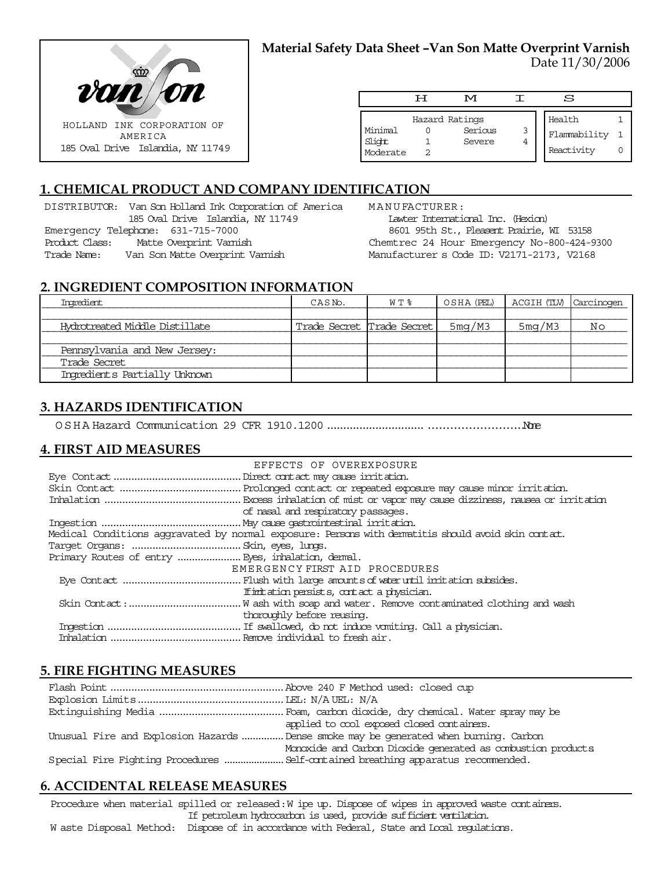

### **Material Safety Data Sheet –Van Son Matte Overprint Varnish** Date 11/30/2006

|                               | ਸ | M                                   |   | s                                    |  |
|-------------------------------|---|-------------------------------------|---|--------------------------------------|--|
| Minimal<br>Slight<br>Moderate |   | Hazard Ratings<br>Serious<br>Severe | 3 | Health<br>Flammability<br>Reactivity |  |

# **1. CHEMICAL PRODUCT AND COMPANY IDENTIFICATION**

DISTRIBUTOR: Van Son Holland Ink Corporation of America 185 Oval Drive Islandia, NY 11749 Emergency Telephone: 631-715-7000 Product Class: Matte Overprint Varnish Trade Name: Van Son Matte Overprint Varnish

MANUFACTURER: Lawter International Inc. (Hexion) 8601 95th St., Pleasent Prairie, WI 53158

Chemtrec 24 Hour Emergency No-800-424-9300 Manufacturer s Code ID: V2171-2173, V2168

### **2. INGREDIENT COMPOSITION INFORMATION**

| Imredient                      | CASN <sub>o</sub> .       | W T % | OSHA (PEL)   ACGIH (TLV)   Carcinogen |        |    |
|--------------------------------|---------------------------|-------|---------------------------------------|--------|----|
|                                |                           |       |                                       |        |    |
| Hydrotreated Middle Distillate | Trade Secret Trade Secret |       | 5mg/M3                                | 5mg/M3 | Νo |
|                                |                           |       |                                       |        |    |
| Pennsylvania and New Jersey:   |                           |       |                                       |        |    |
| Trade Secret                   |                           |       |                                       |        |    |
| Ingredients Partially Unknown  |                           |       |                                       |        |    |

### **3. HAZARDS IDENTIFICATION**

OSHA Hazard Communication 29 CFR 1910.1200........................................................None

### **4. FIRST AID MEASURES**

| EFFECTS OF OVEREXPOSURE                                                                            |
|----------------------------------------------------------------------------------------------------|
|                                                                                                    |
|                                                                                                    |
|                                                                                                    |
| of nasal and respiratory passages.                                                                 |
|                                                                                                    |
| Medical Conditions aggravated by normal exposure: Persons with dematitis should avoid skin contat. |
|                                                                                                    |
|                                                                                                    |
| EMERGENCY FIRST AID PROCEDURES                                                                     |
|                                                                                                    |
| If initiation persists, contact a physician.                                                       |
|                                                                                                    |
| thoroughly before reusing.                                                                         |
|                                                                                                    |
|                                                                                                    |

### **5. FIRE FIGHTING MEASURES**

| applied to cool exposed closed containers.                                            |
|---------------------------------------------------------------------------------------|
| Unusual Fire and Explosion Hazards  Dense smoke may be generated when burning. Carbon |
| Monoxide and Carbon Dioxide generated as combustion products                          |
|                                                                                       |

### **6. ACCIDENTAL RELEASE MEASURES**

Procedure when material spilled or released: W ipe up. Dispose of wipes in approved waste containers. If petroleum hydrocarbon is used, provide sufficient ventilation.

W aste Disposal Method: Dispose of in accordance with Federal, State and Local regulations.